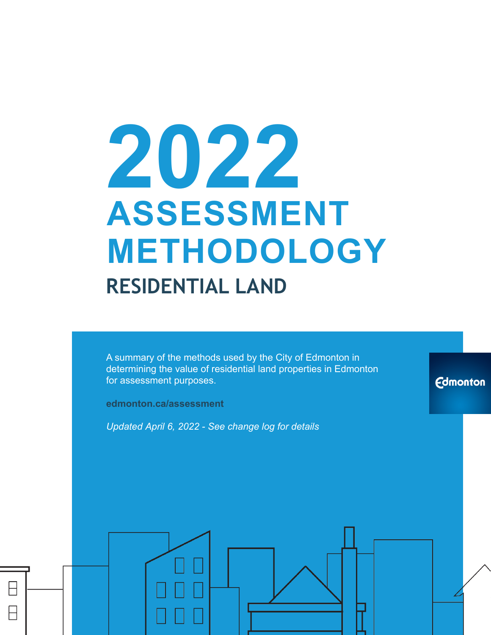# **2022 ASSESSMENT METHODOLOGY RESIDENTIAL LAND**

A summary of the methods used by the City of Edmonton in determining the value of residential land properties in Edmonton for assessment purposes.

**edmonton.ca/assessment**

*Updated April 6, 2022 - See change log for details*

**Edmonton**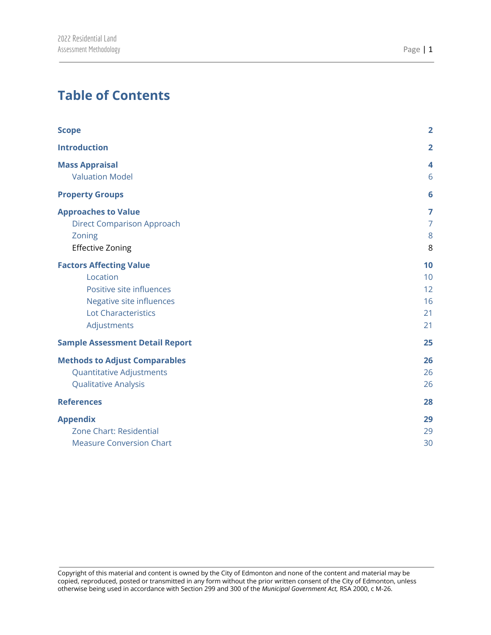# **Table of Contents**

|                                        | $\overline{2}$   |
|----------------------------------------|------------------|
| <b>Scope</b>                           |                  |
| <b>Introduction</b>                    | $\overline{2}$   |
| <b>Mass Appraisal</b>                  | $\boldsymbol{4}$ |
| <b>Valuation Model</b>                 | 6                |
| <b>Property Groups</b>                 | 6                |
| <b>Approaches to Value</b>             | 7                |
| <b>Direct Comparison Approach</b>      | $\overline{7}$   |
| Zoning                                 | 8                |
| <b>Effective Zoning</b>                | 8                |
| <b>Factors Affecting Value</b>         | 10               |
| Location                               | 10               |
| Positive site influences               | 12               |
| Negative site influences               | 16               |
| <b>Lot Characteristics</b>             | 21               |
| Adjustments                            | 21               |
| <b>Sample Assessment Detail Report</b> | 25               |
| <b>Methods to Adjust Comparables</b>   | 26               |
| <b>Quantitative Adjustments</b>        | 26               |
| <b>Qualitative Analysis</b>            | 26               |
| <b>References</b>                      | 28               |
| <b>Appendix</b>                        | 29               |
| Zone Chart: Residential                | 29               |
| <b>Measure Conversion Chart</b>        | 30               |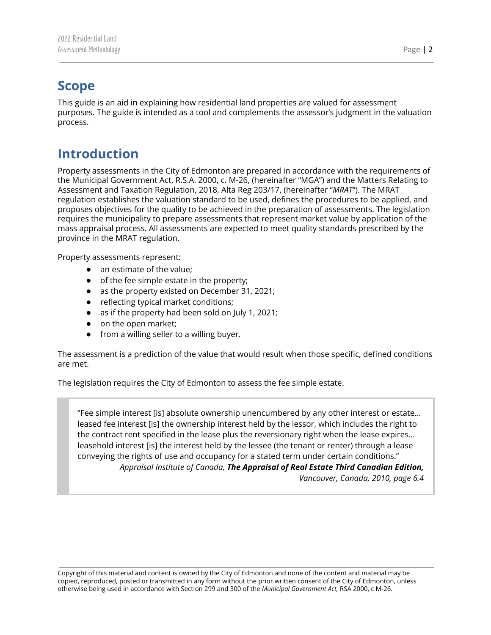## <span id="page-2-0"></span>**Scope**

This guide is an aid in explaining how residential land properties are valued for assessment purposes. The guide is intended as a tool and complements the assessor's judgment in the valuation process.

# <span id="page-2-1"></span>**Introduction**

Property assessments in the City of Edmonton are prepared in accordance with the requirements of the Municipal Government Act, R.S.A. 2000, c. M-26, (hereinafter "MGA") and the Matters Relating to Assessment and Taxation Regulation, 2018, Alta Reg 203/17, (hereinafter "*MRAT*"). The MRAT regulation establishes the valuation standard to be used, defines the procedures to be applied, and proposes objectives for the quality to be achieved in the preparation of assessments. The legislation requires the municipality to prepare assessments that represent market value by application of the mass appraisal process. All assessments are expected to meet quality standards prescribed by the province in the MRAT regulation.

Property assessments represent:

- an estimate of the value;
- of the fee simple estate in the property;
- as the property existed on December 31, 2021;
- reflecting typical market conditions;
- as if the property had been sold on July 1, 2021;
- on the open market;
- from a willing seller to a willing buyer.

The assessment is a prediction of the value that would result when those specific, defined conditions are met.

The legislation requires the City of Edmonton to assess the fee simple estate.

"Fee simple interest [is] absolute ownership unencumbered by any other interest or estate… leased fee interest [is] the ownership interest held by the lessor, which includes the right to the contract rent specified in the lease plus the reversionary right when the lease expires… leasehold interest [is] the interest held by the lessee (the tenant or renter) through a lease conveying the rights of use and occupancy for a stated term under certain conditions." *Appraisal Institute of Canada, The Appraisal of Real Estate Third Canadian Edition, Vancouver, Canada, 2010, page 6.4*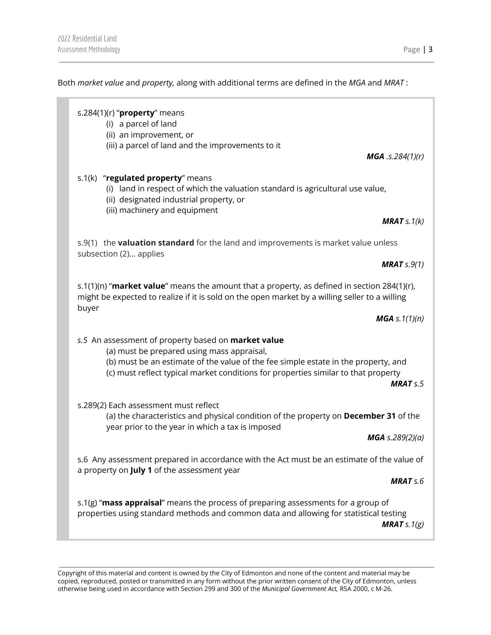Both *market value* and *property,* along with additional terms are defined in the *MGA* and *MRAT* :

## s.284(1)(r) "**property**" means (i) a parcel of land (ii) an improvement, or (iii) a parcel of land and the improvements to it *MGA .s.284(1)(r)* s.1(k) "**regulated property**" means (i) land in respect of which the valuation standard is agricultural use value, (ii) designated industrial property, or (iii) machinery and equipment *MRAT s.1(k)* s.9(1) the **valuation standard** for the land and improvements is market value unless subsection (2)… applies *MRAT s.9(1)* s.1(1)(n) "**market value**" means the amount that a property, as defined in section 284(1)(r), might be expected to realize if it is sold on the open market by a willing seller to a willing buyer *MGA s.1(1)(n) s.5* An assessment of property based on **market value** (a) must be prepared using mass appraisal, (b) must be an estimate of the value of the fee simple estate in the property, and (c) must reflect typical market conditions for properties similar to that property *MRAT s.5* s.289(2) Each assessment must reflect (a) the characteristics and physical condition of the property on **December 31** of the year prior to the year in which a tax is imposed *MGA s.289(2)(a)* s.6 Any assessment prepared in accordance with the Act must be an estimate of the value of a property on **July 1** of the assessment year *MRAT s.6* s.1(g) "**mass appraisal**" means the process of preparing assessments for a group of properties using standard methods and common data and allowing for statistical testing

*MRAT s.1(g)*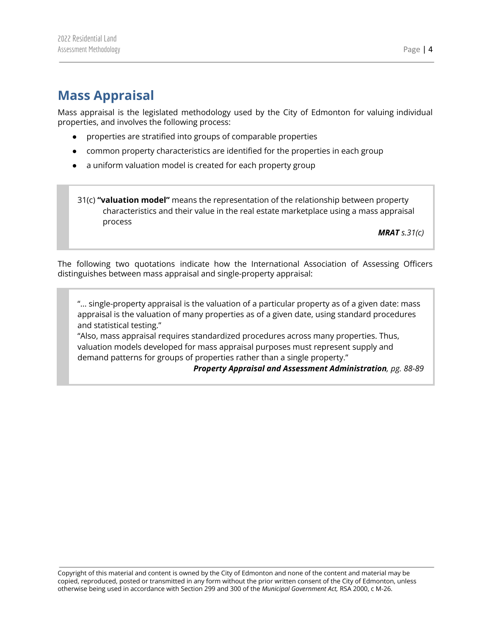# <span id="page-4-0"></span>**Mass Appraisal**

Mass appraisal is the legislated methodology used by the City of Edmonton for valuing individual properties, and involves the following process:

- properties are stratified into groups of comparable properties
- common property characteristics are identified for the properties in each group
- a uniform valuation model is created for each property group

31(c) **"valuation model"** means the representation of the relationship between property characteristics and their value in the real estate marketplace using a mass appraisal process

*MRAT s.31(c)*

The following two quotations indicate how the International Association of Assessing Officers distinguishes between mass appraisal and single-property appraisal:

"... single-property appraisal is the valuation of a particular property as of a given date: mass appraisal is the valuation of many properties as of a given date, using standard procedures and statistical testing."

"Also, mass appraisal requires standardized procedures across many properties. Thus, valuation models developed for mass appraisal purposes must represent supply and demand patterns for groups of properties rather than a single property."

*Property Appraisal and Assessment Administration, pg. 88-89*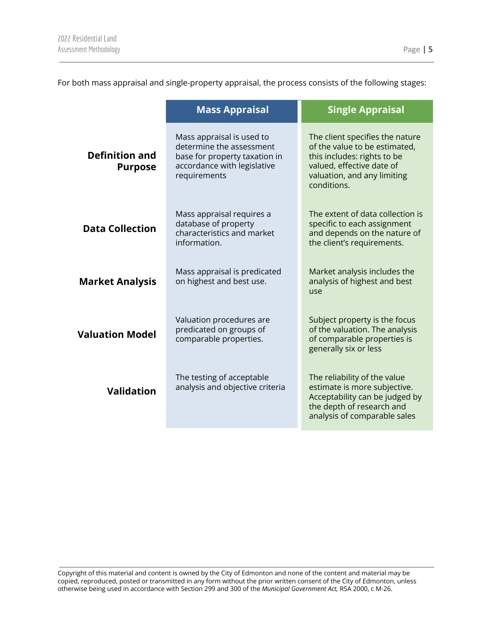For both mass appraisal and single-property appraisal, the process consists of the following stages:

|                                         | <b>Mass Appraisal</b>                                                                                                                                                                                    | <b>Single Appraisal</b>                                                                                                                                                    |
|-----------------------------------------|----------------------------------------------------------------------------------------------------------------------------------------------------------------------------------------------------------|----------------------------------------------------------------------------------------------------------------------------------------------------------------------------|
| <b>Definition and</b><br><b>Purpose</b> | Mass appraisal is used to<br>determine the assessment<br>base for property taxation in<br>accordance with legislative<br>requirements                                                                    | The client specifies the nature<br>of the value to be estimated,<br>this includes: rights to be<br>valued, effective date of<br>valuation, and any limiting<br>conditions. |
| <b>Data Collection</b>                  | Mass appraisal requires a<br>database of property<br>characteristics and market<br>information.                                                                                                          | The extent of data collection is<br>specific to each assignment<br>and depends on the nature of<br>the client's requirements.                                              |
| <b>Market Analysis</b>                  | Mass appraisal is predicated<br>on highest and best use.                                                                                                                                                 | Market analysis includes the<br>analysis of highest and best<br>use                                                                                                        |
| <b>Valuation Model</b>                  | Subject property is the focus<br>Valuation procedures are<br>predicated on groups of<br>of the valuation. The analysis<br>comparable properties.<br>of comparable properties is<br>generally six or less |                                                                                                                                                                            |
| <b>Validation</b>                       | The testing of acceptable<br>analysis and objective criteria                                                                                                                                             | The reliability of the value<br>estimate is more subjective.<br>Acceptability can be judged by<br>the depth of research and<br>analysis of comparable sales                |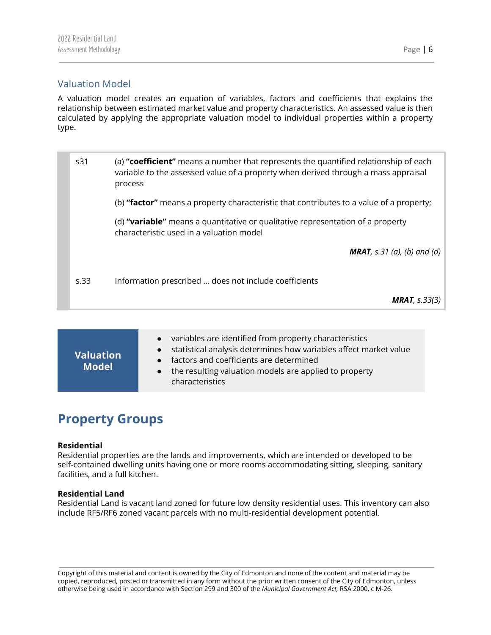## <span id="page-6-0"></span>Valuation Model

A valuation model creates an equation of variables, factors and coefficients that explains the relationship between estimated market value and property characteristics. An assessed value is then calculated by applying the appropriate valuation model to individual properties within a property type.

s31 (a) **"coefficient"** means a number that represents the quantified relationship of each variable to the assessed value of a property when derived through a mass appraisal process (b) **"factor"** means a property characteristic that contributes to a value of a property; (d) **"variable"** means a quantitative or qualitative representation of a property characteristic used in a valuation model *MRAT, s.31 (a), (b) and (d)* s.33 Information prescribed … does not include coefficients *MRAT, s.33(3)*

| <b>Valuation</b><br><b>Model</b> | variables are identified from property characteristics<br>$\bullet$<br>statistical analysis determines how variables affect market value<br>factors and coefficients are determined<br>$\bullet$<br>the resulting valuation models are applied to property<br>$\bullet$<br>characteristics |
|----------------------------------|--------------------------------------------------------------------------------------------------------------------------------------------------------------------------------------------------------------------------------------------------------------------------------------------|
|----------------------------------|--------------------------------------------------------------------------------------------------------------------------------------------------------------------------------------------------------------------------------------------------------------------------------------------|

# <span id="page-6-1"></span>**Property Groups**

#### **Residential**

Residential properties are the lands and improvements, which are intended or developed to be self-contained dwelling units having one or more rooms accommodating sitting, sleeping, sanitary facilities, and a full kitchen.

#### **Residential Land**

Residential Land is vacant land zoned for future low density residential uses. This inventory can also include RF5/RF6 zoned vacant parcels with no multi-residential development potential.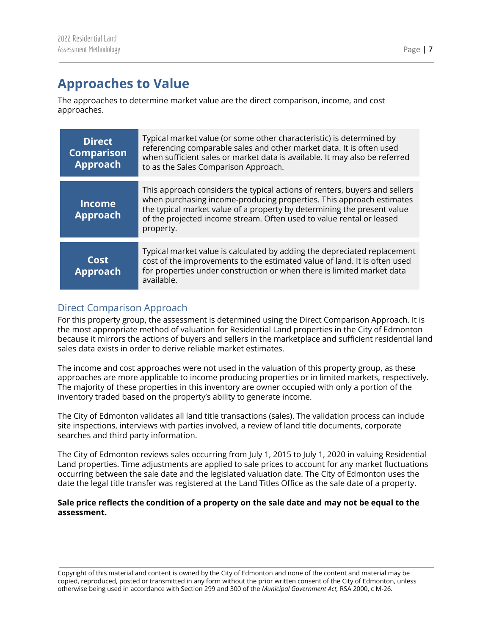# <span id="page-7-0"></span>**Approaches to Value**

The approaches to determine market value are the direct comparison, income, and cost approaches.

| <b>Direct</b><br><b>Comparison</b><br><b>Approach</b> | Typical market value (or some other characteristic) is determined by<br>referencing comparable sales and other market data. It is often used<br>when sufficient sales or market data is available. It may also be referred<br>to as the Sales Comparison Approach.                                                 |
|-------------------------------------------------------|--------------------------------------------------------------------------------------------------------------------------------------------------------------------------------------------------------------------------------------------------------------------------------------------------------------------|
| <b>Income</b><br><b>Approach</b>                      | This approach considers the typical actions of renters, buyers and sellers<br>when purchasing income-producing properties. This approach estimates<br>the typical market value of a property by determining the present value<br>of the projected income stream. Often used to value rental or leased<br>property. |
| Cost<br><b>Approach</b>                               | Typical market value is calculated by adding the depreciated replacement<br>cost of the improvements to the estimated value of land. It is often used<br>for properties under construction or when there is limited market data<br>available.                                                                      |

## <span id="page-7-1"></span>Direct Comparison Approach

For this property group, the assessment is determined using the Direct Comparison Approach. It is the most appropriate method of valuation for Residential Land properties in the City of Edmonton because it mirrors the actions of buyers and sellers in the marketplace and sufficient residential land sales data exists in order to derive reliable market estimates.

The income and cost approaches were not used in the valuation of this property group, as these approaches are more applicable to income producing properties or in limited markets, respectively. The majority of these properties in this inventory are owner occupied with only a portion of the inventory traded based on the property's ability to generate income.

The City of Edmonton validates all land title transactions (sales). The validation process can include site inspections, interviews with parties involved, a review of land title documents, corporate searches and third party information.

The City of Edmonton reviews sales occurring from July 1, 2015 to July 1, 2020 in valuing Residential Land properties. Time adjustments are applied to sale prices to account for any market fluctuations occurring between the sale date and the legislated valuation date. The City of Edmonton uses the date the legal title transfer was registered at the Land Titles Office as the sale date of a property.

#### Sale price reflects the condition of a property on the sale date and may not be equal to the **assessment.**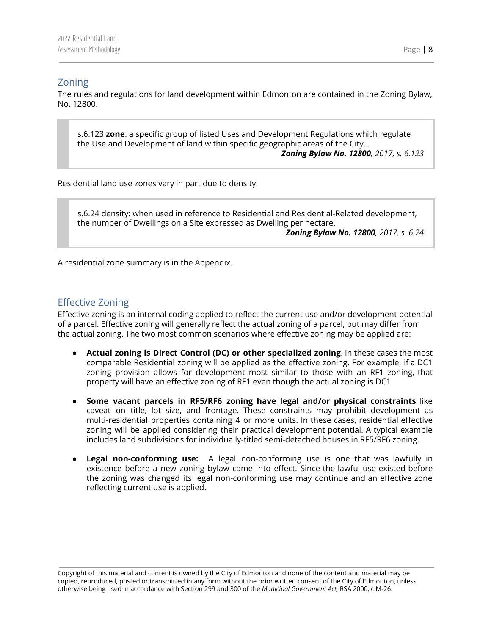## <span id="page-8-0"></span>Zoning

The rules and regulations for land development within Edmonton are contained in the Zoning Bylaw, No. 12800.

s.6.123 **zone**: a specific group of listed Uses and Development Regulations which regulate the Use and Development of land within specific geographic areas of the City... *Zoning Bylaw No. 12800, 2017, s. 6.123*

Residential land use zones vary in part due to density.

s.6.24 density: when used in reference to Residential and Residential-Related development, the number of Dwellings on a Site expressed as Dwelling per hectare. *Zoning Bylaw No. 12800, 2017, s. 6.24*

A residential zone summary is in the Appendix.

## <span id="page-8-1"></span>Effective Zoning

Effective zoning is an internal coding applied to reflect the current use and/or development potential of a parcel. Effective zoning will generally reflect the actual zoning of a parcel, but may differ from the actual zoning. The two most common scenarios where effective zoning may be applied are:

- **Actual zoning is Direct Control (DC) or other specialized zoning**. In these cases the most comparable Residential zoning will be applied as the effective zoning. For example, if a DC1 zoning provision allows for development most similar to those with an RF1 zoning, that property will have an effective zoning of RF1 even though the actual zoning is DC1.
- **Some vacant parcels in RF5/RF6 zoning have legal and/or physical constraints** like caveat on title, lot size, and frontage. These constraints may prohibit development as multi-residential properties containing 4 or more units. In these cases, residential effective zoning will be applied considering their practical development potential. A typical example includes land subdivisions for individually-titled semi-detached houses in RF5/RF6 zoning.
- **Legal non-conforming use:** A legal non-conforming use is one that was lawfully in existence before a new zoning bylaw came into effect. Since the lawful use existed before the zoning was changed its legal non-conforming use may continue and an effective zone reflecting current use is applied.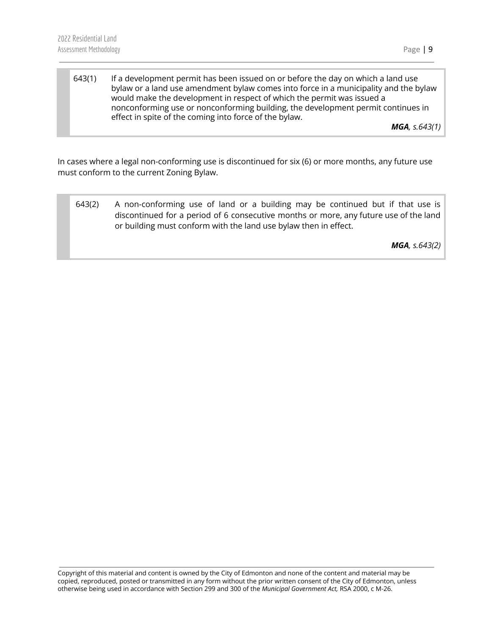643(1) If a development permit has been issued on or before the day on which a land use bylaw or a land use amendment bylaw comes into force in a municipality and the bylaw would make the development in respect of which the permit was issued a nonconforming use or nonconforming building, the development permit continues in effect in spite of the coming into force of the bylaw.

*MGA, s.643(1)*

In cases where a legal non-conforming use is discontinued for six (6) or more months, any future use must conform to the current Zoning Bylaw.

643(2) A non-conforming use of land or a building may be continued but if that use is discontinued for a period of 6 consecutive months or more, any future use of the land or building must conform with the land use bylaw then in effect.

*MGA, s.643(2)*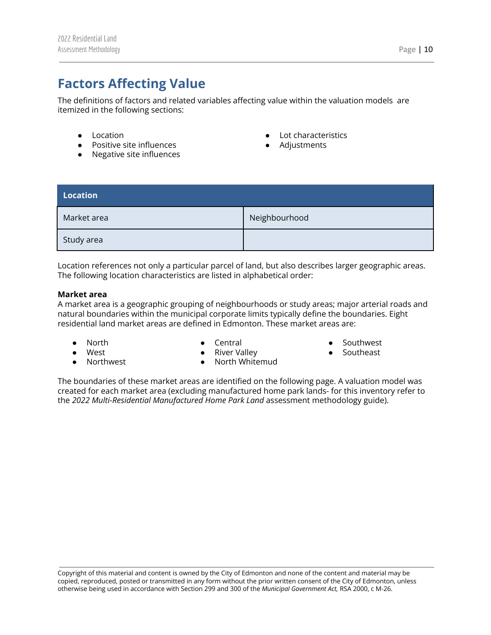# <span id="page-10-0"></span>**Factors Affecting Value**

The definitions of factors and related variables affecting value within the valuation models are itemized in the following sections:

- Location
- Positive site influences
- Negative site influences
- Lot characteristics
- Adjustments

<span id="page-10-1"></span>

| <b>Location</b> |               |
|-----------------|---------------|
| Market area     | Neighbourhood |
| Study area      |               |

Location references not only a particular parcel of land, but also describes larger geographic areas. The following location characteristics are listed in alphabetical order:

#### **Market area**

A market area is a geographic grouping of neighbourhoods or study areas; major arterial roads and natural boundaries within the municipal corporate limits typically define the boundaries. Eight residential land market areas are defined in Edmonton. These market areas are:

● North ● West

**Northwest** 

● Central ● River Valley

- Southwest
- Southeast

The boundaries of these market areas are identified on the following page. A valuation model was created for each market area (excluding manufactured home park lands- for this inventory refer to the *2022 Multi-Residential Manufactured Home Park Land* assessment methodology guide).

● North Whitemud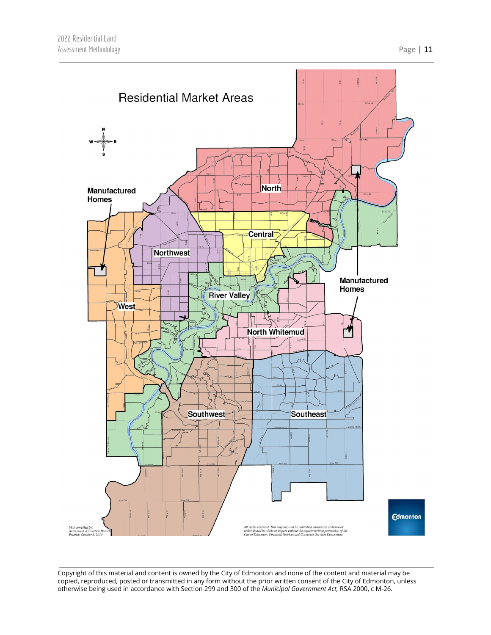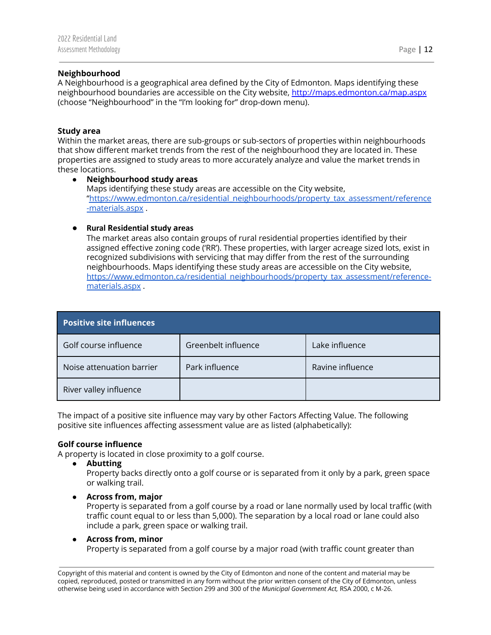#### **Neighbourhood**

A Neighbourhood is a geographical area defined by the City of Edmonton. Maps identifying these neighbourhood boundaries are accessible on the City website, <http://maps.edmonton.ca/map.aspx> (choose "Neighbourhood" in the "I'm looking for" drop-down menu).

#### **Study area**

Within the market areas, there are sub-groups or sub-sectors of properties within neighbourhoods that show different market trends from the rest of the neighbourhood they are located in. These properties are assigned to study areas to more accurately analyze and value the market trends in these locations.

● **Neighbourhood study areas** Maps identifying these study areas are accessible on the City website, ["https://www.edmonton.ca/residential\\_neighbourhoods/property\\_tax\\_assessment/reference](https://www.edmonton.ca/residential_neighbourhoods/property_tax_assessment/reference-materials.aspx) [-materials.aspx](https://www.edmonton.ca/residential_neighbourhoods/property_tax_assessment/reference-materials.aspx) .

#### ● **Rural Residential study areas**

The market areas also contain groups of rural residential properties identified by their assigned effective zoning code ('RR'). These properties, with larger acreage sized lots, exist in recognized subdivisions with servicing that may differ from the rest of the surrounding neighbourhoods. Maps identifying these study areas are accessible on the City website, [https://www.edmonton.ca/residential\\_neighbourhoods/property\\_tax\\_assessment/reference](https://www.edmonton.ca/residential_neighbourhoods/property_tax_assessment/reference-materials.aspx)[materials.aspx](https://www.edmonton.ca/residential_neighbourhoods/property_tax_assessment/reference-materials.aspx) .

<span id="page-12-0"></span>

| <b>Positive site influences</b> |                     |                  |
|---------------------------------|---------------------|------------------|
| Golf course influence           | Greenbelt influence | Lake influence   |
| Noise attenuation barrier       | Park influence      | Ravine influence |
| River valley influence          |                     |                  |

The impact of a positive site influence may vary by other Factors Affecting Value. The following positive site influences affecting assessment value are as listed (alphabetically):

#### **Golf course influence**

A property is located in close proximity to a golf course.

**● Abutting**

Property backs directly onto a golf course or is separated from it only by a park, green space or walking trail.

**● Across from, major**

Property is separated from a golf course by a road or lane normally used by local traffic (with traffic count equal to or less than 5,000). The separation by a local road or lane could also include a park, green space or walking trail.

#### **● Across from, minor**

Property is separated from a golf course by a major road (with traffic count greater than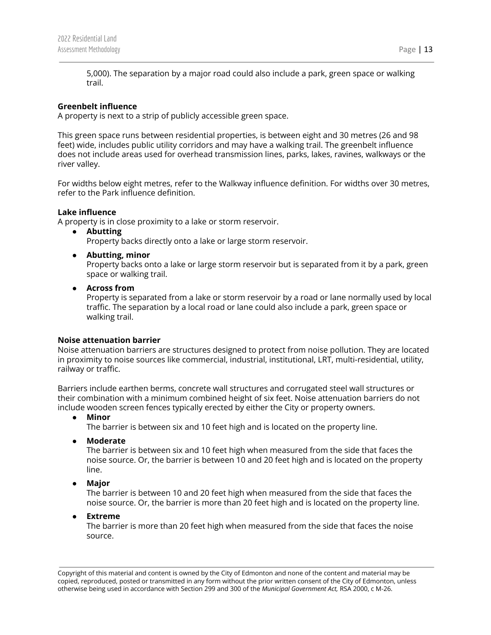5,000). The separation by a major road could also include a park, green space or walking trail.

#### **Greenbelt influence**

A property is next to a strip of publicly accessible green space.

This green space runs between residential properties, is between eight and 30 metres (26 and 98 feet) wide, includes public utility corridors and may have a walking trail. The greenbelt influence does not include areas used for overhead transmission lines, parks, lakes, ravines, walkways or the river valley.

For widths below eight metres, refer to the Walkway influence definition. For widths over 30 metres, refer to the Park influence definition.

#### **Lake influence**

A property is in close proximity to a lake or storm reservoir.

**● Abutting**

Property backs directly onto a lake or large storm reservoir.

**● Abutting, minor**

Property backs onto a lake or large storm reservoir but is separated from it by a park, green space or walking trail.

**● Across from**

Property is separated from a lake or storm reservoir by a road or lane normally used by local traffic. The separation by a local road or lane could also include a park, green space or walking trail.

#### **Noise attenuation barrier**

Noise attenuation barriers are structures designed to protect from noise pollution. They are located in proximity to noise sources like commercial, industrial, institutional, LRT, multi-residential, utility, railway or traffic.

Barriers include earthen berms, concrete wall structures and corrugated steel wall structures or their combination with a minimum combined height of six feet. Noise attenuation barriers do not include wooden screen fences typically erected by either the City or property owners.

**● Minor**

The barrier is between six and 10 feet high and is located on the property line.

**● Moderate**

The barrier is between six and 10 feet high when measured from the side that faces the noise source. Or, the barrier is between 10 and 20 feet high and is located on the property line.

**● Major**

The barrier is between 10 and 20 feet high when measured from the side that faces the noise source. Or, the barrier is more than 20 feet high and is located on the property line.

**● Extreme**

The barrier is more than 20 feet high when measured from the side that faces the noise source.

Assessment Methodology **Page | 13** 

Copyright of this material and content is owned by the City of Edmonton and none of the content and material may be copied, reproduced, posted or transmitted in any form without the prior written consent of the City of Edmonton, unless otherwise being used in accordance with Section 299 and 300 of the *Municipal Government Act,* RSA 2000, c M-26.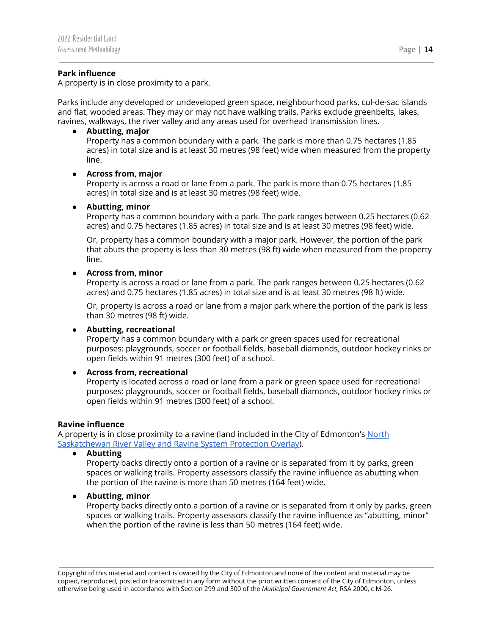#### **Park influence**

A property is in close proximity to a park.

Parks include any developed or undeveloped green space, neighbourhood parks, cul-de-sac islands and flat, wooded areas. They may or may not have walking trails. Parks exclude greenbelts, lakes, ravines, walkways, the river valley and any areas used for overhead transmission lines.

#### **● Abutting, major**

Property has a common boundary with a park. The park is more than 0.75 hectares (1.85 acres) in total size and is at least 30 metres (98 feet) wide when measured from the property line.

#### **● Across from, major**

Property is across a road or lane from a park. The park is more than 0.75 hectares (1.85 acres) in total size and is at least 30 metres (98 feet) wide.

#### **● Abutting, minor**

Property has a common boundary with a park. The park ranges between 0.25 hectares (0.62 acres) and 0.75 hectares (1.85 acres) in total size and is at least 30 metres (98 feet) wide.

Or, property has a common boundary with a major park. However, the portion of the park that abuts the property is less than 30 metres (98 ft) wide when measured from the property line.

#### **● Across from, minor**

Property is across a road or lane from a park. The park ranges between 0.25 hectares (0.62 acres) and 0.75 hectares (1.85 acres) in total size and is at least 30 metres (98 ft) wide.

Or, property is across a road or lane from a major park where the portion of the park is less than 30 metres (98 ft) wide.

#### **● Abutting, recreational**

Property has a common boundary with a park or green spaces used for recreational purposes: playgrounds, soccer or football fields, baseball diamonds, outdoor hockey rinks or open fields within 91 metres (300 feet) of a school.

#### **● Across from, recreational**

Property is located across a road or lane from a park or green space used for recreational purposes: playgrounds, soccer or football fields, baseball diamonds, outdoor hockey rinks or open fields within 91 metres (300 feet) of a school.

#### **Ravine influence**

A property is in close proximity to a ravine (land included in the City of Edmonton's [North](https://webdocs.edmonton.ca/zoningbylaw/ZoningBylaw/Part2/Overlays/811_North_Saskatchewan_River_Valley_and_Ravine_System_Protection_Overlay.htm) [Saskatchewan](https://webdocs.edmonton.ca/zoningbylaw/ZoningBylaw/Part2/Overlays/811_North_Saskatchewan_River_Valley_and_Ravine_System_Protection_Overlay.htm) River Valley and Ravine System Protection Overlay).

**● Abutting**

Property backs directly onto a portion of a ravine or is separated from it by parks, green spaces or walking trails. Property assessors classify the ravine influence as abutting when the portion of the ravine is more than 50 metres (164 feet) wide.

#### **● Abutting, minor**

Property backs directly onto a portion of a ravine or is separated from it only by parks, green spaces or walking trails. Property assessors classify the ravine influence as "abutting, minor" when the portion of the ravine is less than 50 metres (164 feet) wide.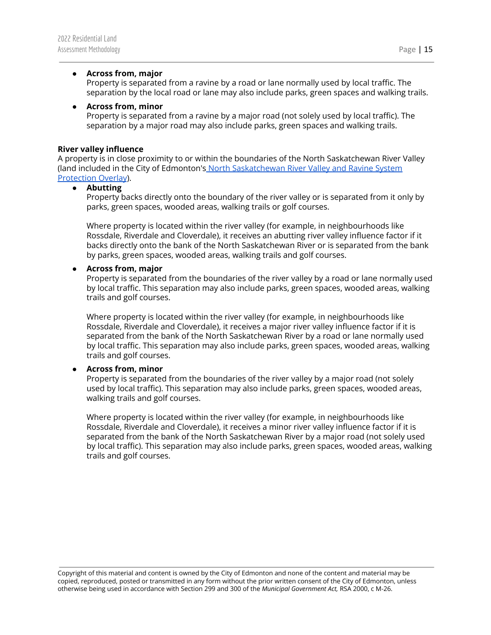#### **● Across from, major**

Property is separated from a ravine by a road or lane normally used by local traffic. The separation by the local road or lane may also include parks, green spaces and walking trails.

#### **● Across from, minor**

Property is separated from a ravine by a major road (not solely used by local traffic). The separation by a major road may also include parks, green spaces and walking trails.

#### **River valley influence**

A property is in close proximity to or within the boundaries of the North Saskatchewan River Valley (land included in the City of Edmonton's North [Saskatchewan](https://webdocs.edmonton.ca/zoningbylaw/ZoningBylaw/Part2/Overlays/811_North_Saskatchewan_River_Valley_and_Ravine_System_Protection_Overlay.htm) River Valley and Ravine System [Protection](https://webdocs.edmonton.ca/zoningbylaw/ZoningBylaw/Part2/Overlays/811_North_Saskatchewan_River_Valley_and_Ravine_System_Protection_Overlay.htm) Overlay).

#### **● Abutting**

Property backs directly onto the boundary of the river valley or is separated from it only by parks, green spaces, wooded areas, walking trails or golf courses.

Where property is located within the river valley (for example, in neighbourhoods like Rossdale, Riverdale and Cloverdale), it receives an abutting river valley influence factor if it backs directly onto the bank of the North Saskatchewan River or is separated from the bank by parks, green spaces, wooded areas, walking trails and golf courses.

#### **● Across from, major**

Property is separated from the boundaries of the river valley by a road or lane normally used by local traffic. This separation may also include parks, green spaces, wooded areas, walking trails and golf courses.

Where property is located within the river valley (for example, in neighbourhoods like Rossdale, Riverdale and Cloverdale), it receives a major river valley influence factor if it is separated from the bank of the North Saskatchewan River by a road or lane normally used by local traffic. This separation may also include parks, green spaces, wooded areas, walking trails and golf courses.

#### **● Across from, minor**

Property is separated from the boundaries of the river valley by a major road (not solely used by local traffic). This separation may also include parks, green spaces, wooded areas, walking trails and golf courses.

Where property is located within the river valley (for example, in neighbourhoods like Rossdale, Riverdale and Cloverdale), it receives a minor river valley influence factor if it is separated from the bank of the North Saskatchewan River by a major road (not solely used by local traffic). This separation may also include parks, green spaces, wooded areas, walking trails and golf courses.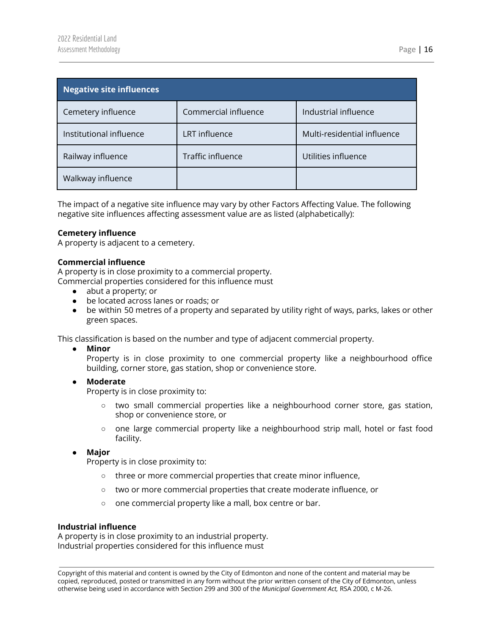<span id="page-16-0"></span>

| Negative site influences |                      |                             |
|--------------------------|----------------------|-----------------------------|
| Cemetery influence       | Commercial influence | Industrial influence        |
| Institutional influence  | LRT influence        | Multi-residential influence |
| Railway influence        | Traffic influence    | Utilities influence         |
| Walkway influence        |                      |                             |

The impact of a negative site influence may vary by other Factors Affecting Value. The following negative site influences affecting assessment value are as listed (alphabetically):

#### **Cemetery influence**

A property is adjacent to a cemetery.

#### **Commercial influence**

A property is in close proximity to a commercial property. Commercial properties considered for this influence must

- abut a property; or
- be located across lanes or roads; or
- be within 50 metres of a property and separated by utility right of ways, parks, lakes or other green spaces.

This classification is based on the number and type of adjacent commercial property.

**● Minor**

Property is in close proximity to one commercial property like a neighbourhood office building, corner store, gas station, shop or convenience store.

**● Moderate**

Property is in close proximity to:

- **○** two small commercial properties like a neighbourhood corner store, gas station, shop or convenience store, or
- **○** one large commercial property like a neighbourhood strip mall, hotel or fast food facility.
- **● Major**

Property is in close proximity to:

- **○** three or more commercial properties that create minor influence,
- **○** two or more commercial properties that create moderate influence, or
- **○** one commercial property like a mall, box centre or bar.

#### **Industrial influence**

A property is in close proximity to an industrial property. Industrial properties considered for this influence must

Copyright of this material and content is owned by the City of Edmonton and none of the content and material may be copied, reproduced, posted or transmitted in any form without the prior written consent of the City of Edmonton, unless otherwise being used in accordance with Section 299 and 300 of the *Municipal Government Act,* RSA 2000, c M-26.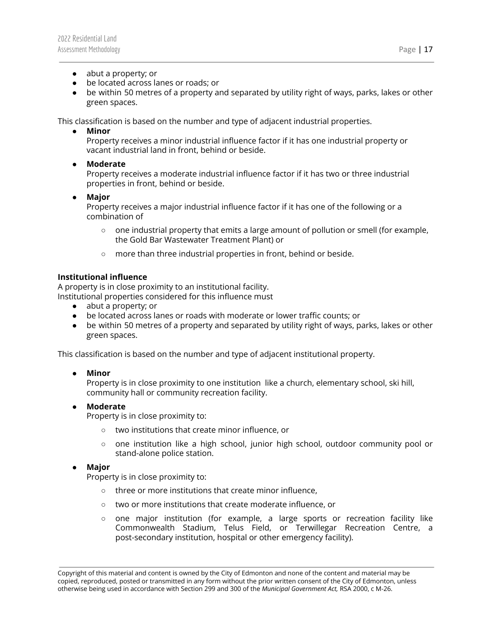- abut a property; or
- be located across lanes or roads; or
- be within 50 metres of a property and separated by utility right of ways, parks, lakes or other green spaces.

This classification is based on the number and type of adjacent industrial properties.

**● Minor**

Property receives a minor industrial influence factor if it has one industrial property or vacant industrial land in front, behind or beside.

● **Moderate**

Property receives a moderate industrial influence factor if it has two or three industrial properties in front, behind or beside.

● **Major**

Property receives a major industrial influence factor if it has one of the following or a combination of

- $\circ$  one industrial property that emits a large amount of pollution or smell (for example, the Gold Bar Wastewater Treatment Plant) or
- more than three industrial properties in front, behind or beside.

#### **Institutional influence**

A property is in close proximity to an institutional facility. Institutional properties considered for this influence must

- abut a property; or
- be located across lanes or roads with moderate or lower traffic counts; or
- be within 50 metres of a property and separated by utility right of ways, parks, lakes or other green spaces.

This classification is based on the number and type of adjacent institutional property.

**● Minor**

Property is in close proximity to one institution like a church, elementary school, ski hill, community hall or community recreation facility.

#### **● Moderate**

Property is in close proximity to:

- **○** two institutions that create minor influence, or
- **○** one institution like a high school, junior high school, outdoor community pool or stand-alone police station.

#### **● Major**

Property is in close proximity to:

- **○** three or more institutions that create minor influence,
- **○** two or more institutions that create moderate influence, or
- **○** one major institution (for example, a large sports or recreation facility like Commonwealth Stadium, Telus Field, or Terwillegar Recreation Centre, a post-secondary institution, hospital or other emergency facility).

Copyright of this material and content is owned by the City of Edmonton and none of the content and material may be copied, reproduced, posted or transmitted in any form without the prior written consent of the City of Edmonton, unless otherwise being used in accordance with Section 299 and 300 of the *Municipal Government Act,* RSA 2000, c M-26.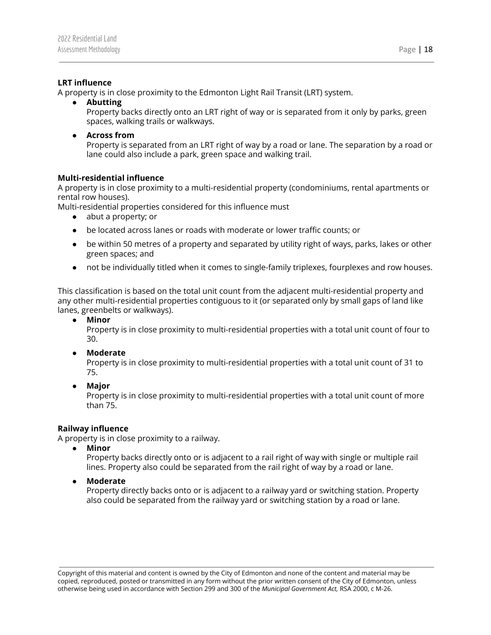#### **LRT influence**

A property is in close proximity to the Edmonton Light Rail Transit (LRT) system.

- **● Abutting** Property backs directly onto an LRT right of way or is separated from it only by parks, green spaces, walking trails or walkways.
- **● Across from**

Property is separated from an LRT right of way by a road or lane. The separation by a road or lane could also include a park, green space and walking trail.

#### **Multi-residential influence**

A property is in close proximity to a multi-residential property (condominiums, rental apartments or rental row houses).

Multi-residential properties considered for this influence must

- abut a property; or
- be located across lanes or roads with moderate or lower traffic counts; or
- be within 50 metres of a property and separated by utility right of ways, parks, lakes or other green spaces; and
- not be individually titled when it comes to single-family triplexes, fourplexes and row houses.

This classification is based on the total unit count from the adjacent multi-residential property and any other multi-residential properties contiguous to it (or separated only by small gaps of land like lanes, greenbelts or walkways).

**● Minor**

Property is in close proximity to multi-residential properties with a total unit count of four to 30.

**● Moderate**

Property is in close proximity to multi-residential properties with a total unit count of 31 to 75.

**● Major**

Property is in close proximity to multi-residential properties with a total unit count of more than 75.

#### **Railway influence**

A property is in close proximity to a railway.

**● Minor**

Property backs directly onto or is adjacent to a rail right of way with single or multiple rail lines. Property also could be separated from the rail right of way by a road or lane.

**● Moderate**

Property directly backs onto or is adjacent to a railway yard or switching station. Property also could be separated from the railway yard or switching station by a road or lane.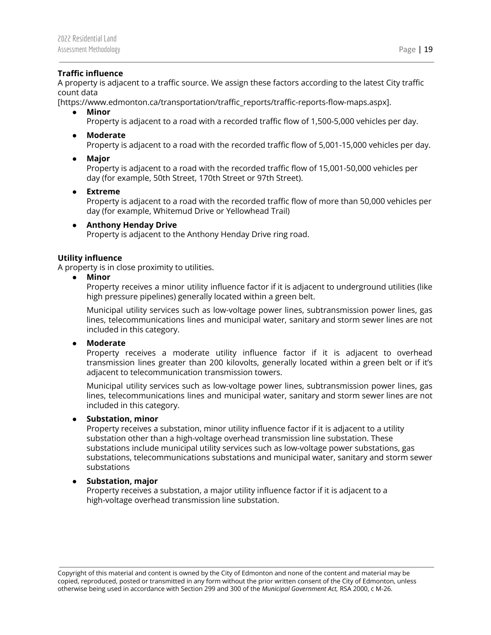#### **Traffic influence**

A property is adjacent to a traffic source. We assign these factors according to the latest City traffic count data

[https://www.edmonton.ca/transportation/traffic\_reports/traffic-reports-flow-maps.aspx].

**● Minor**

Property is adjacent to a road with a recorded traffic flow of 1,500-5,000 vehicles per day.

**● Moderate**

Property is adjacent to a road with the recorded traffic flow of 5,001-15,000 vehicles per day.

**● Major**

Property is adjacent to a road with the recorded traffic flow of 15,001-50,000 vehicles per day (for example, 50th Street, 170th Street or 97th Street).

**● Extreme** Property is adjacent to a road with the recorded traffic flow of more than 50,000 vehicles per day (for example, Whitemud Drive or Yellowhead Trail)

#### **● Anthony Henday Drive**

Property is adjacent to the Anthony Henday Drive ring road.

#### **Utility influence**

A property is in close proximity to utilities.

**● Minor**

Property receives a minor utility influence factor if it is adjacent to underground utilities (like high pressure pipelines) generally located within a green belt.

Municipal utility services such as low-voltage power lines, subtransmission power lines, gas lines, telecommunications lines and municipal water, sanitary and storm sewer lines are not included in this category.

**● Moderate**

Property receives a moderate utility influence factor if it is adjacent to overhead transmission lines greater than 200 kilovolts, generally located within a green belt or if it's adjacent to telecommunication transmission towers.

Municipal utility services such as low-voltage power lines, subtransmission power lines, gas lines, telecommunications lines and municipal water, sanitary and storm sewer lines are not included in this category.

#### **● Substation, minor**

Property receives a substation, minor utility influence factor if it is adjacent to a utility substation other than a high-voltage overhead transmission line substation. These substations include municipal utility services such as low-voltage power substations, gas substations, telecommunications substations and municipal water, sanitary and storm sewer substations

#### **● Substation, major**

Property receives a substation, a major utility influence factor if it is adjacent to a high-voltage overhead transmission line substation.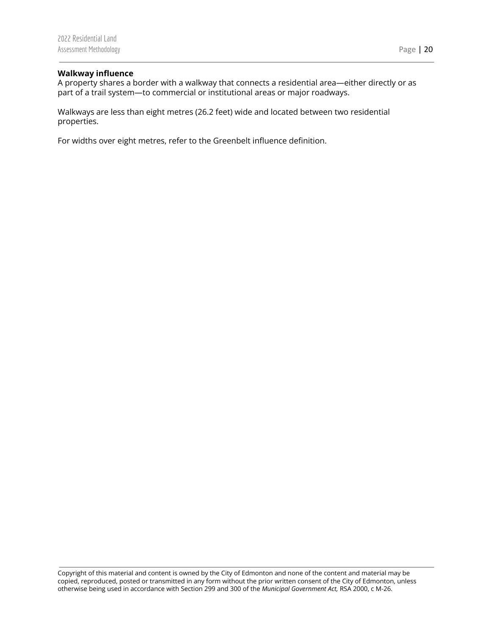#### **Walkway influence**

A property shares a border with a walkway that connects a residential area—either directly or as part of a trail system—to commercial or institutional areas or major roadways.

Walkways are less than eight metres (26.2 feet) wide and located between two residential properties.

For widths over eight metres, refer to the Greenbelt influence definition.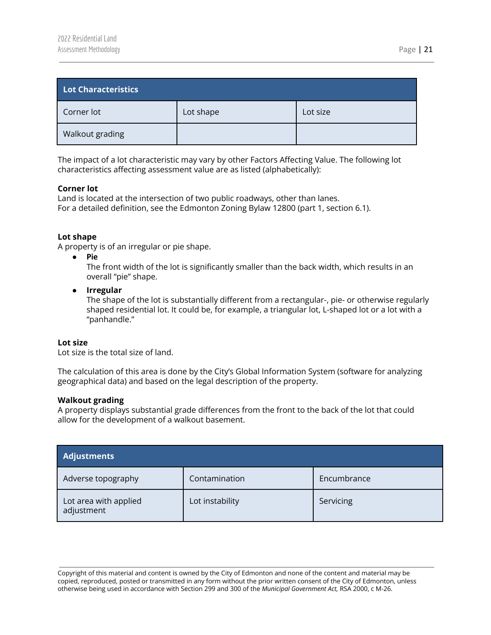<span id="page-21-0"></span>

| Lot Characteristics |           |          |
|---------------------|-----------|----------|
| Corner lot          | Lot shape | Lot size |
| Walkout grading     |           |          |

The impact of a lot characteristic may vary by other Factors Affecting Value. The following lot characteristics affecting assessment value are as listed (alphabetically):

#### **Corner lot**

Land is located at the intersection of two public roadways, other than lanes. For a detailed definition, see the Edmonton Zoning Bylaw 12800 (part 1, section 6.1).

#### **Lot shape**

A property is of an irregular or pie shape.

● **Pie**

The front width of the lot is significantly smaller than the back width, which results in an overall "pie" shape.

**● Irregular** The shape of the lot is substantially different from a rectangular-, pie- or otherwise regularly shaped residential lot. It could be, for example, a triangular lot, L-shaped lot or a lot with a "panhandle."

#### **Lot size**

Lot size is the total size of land.

The calculation of this area is done by the City's Global Information System (software for analyzing geographical data) and based on the legal description of the property.

#### **Walkout grading**

A property displays substantial grade differences from the front to the back of the lot that could allow for the development of a walkout basement.

<span id="page-21-1"></span>

| <b>Adjustments</b>                  |                 |             |
|-------------------------------------|-----------------|-------------|
| Adverse topography                  | Contamination   | Encumbrance |
| Lot area with applied<br>adjustment | Lot instability | Servicing   |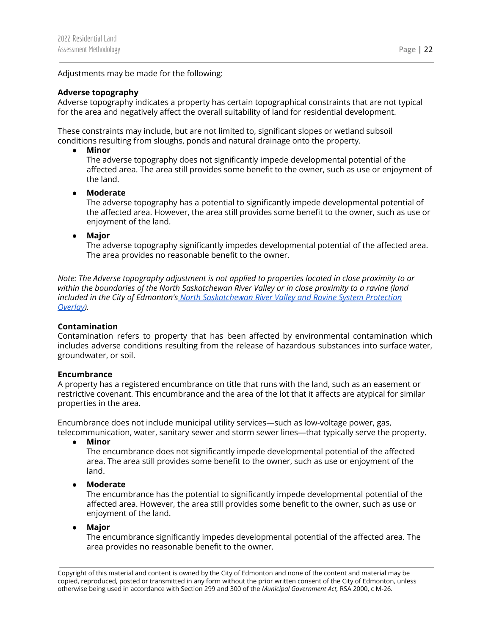Adjustments may be made for the following:

#### **Adverse topography**

Adverse topography indicates a property has certain topographical constraints that are not typical for the area and negatively affect the overall suitability of land for residential development.

These constraints may include, but are not limited to, significant slopes or wetland subsoil conditions resulting from sloughs, ponds and natural drainage onto the property.

**● Minor**

The adverse topography does not significantly impede developmental potential of the affected area. The area still provides some benefit to the owner, such as use or enjoyment of the land.

**● Moderate**

The adverse topography has a potential to significantly impede developmental potential of the affected area. However, the area still provides some benefit to the owner, such as use or enjoyment of the land.

**● Major**

The adverse topography significantly impedes developmental potential of the affected area. The area provides no reasonable benefit to the owner.

*Note: The Adverse topography adjustment is not applied to properties located in close proximity to or within the boundaries of the North Saskatchewan River Valley or in close proximity to a ravine (land included in the City of Edmonton's North [Saskatchewan](https://webdocs.edmonton.ca/zoningbylaw/ZoningBylaw/Part2/Overlays/811_North_Saskatchewan_River_Valley_and_Ravine_System_Protection_Overlay.htm) River Valley and Ravine System Protection [Overlay\)](https://webdocs.edmonton.ca/zoningbylaw/ZoningBylaw/Part2/Overlays/811_North_Saskatchewan_River_Valley_and_Ravine_System_Protection_Overlay.htm).*

#### **Contamination**

Contamination refers to property that has been affected by environmental contamination which includes adverse conditions resulting from the release of hazardous substances into surface water, groundwater, or soil.

#### **Encumbrance**

A property has a registered encumbrance on title that runs with the land, such as an easement or restrictive covenant. This encumbrance and the area of the lot that it affects are atypical for similar properties in the area.

Encumbrance does not include municipal utility services—such as low-voltage power, gas, telecommunication, water, sanitary sewer and storm sewer lines—that typically serve the property.

**● Minor**

The encumbrance does not significantly impede developmental potential of the affected area. The area still provides some benefit to the owner, such as use or enjoyment of the land.

**● Moderate**

The encumbrance has the potential to significantly impede developmental potential of the affected area. However, the area still provides some benefit to the owner, such as use or enjoyment of the land.

**● Major**

The encumbrance significantly impedes developmental potential of the affected area. The area provides no reasonable benefit to the owner.

Copyright of this material and content is owned by the City of Edmonton and none of the content and material may be copied, reproduced, posted or transmitted in any form without the prior written consent of the City of Edmonton, unless otherwise being used in accordance with Section 299 and 300 of the *Municipal Government Act,* RSA 2000, c M-26.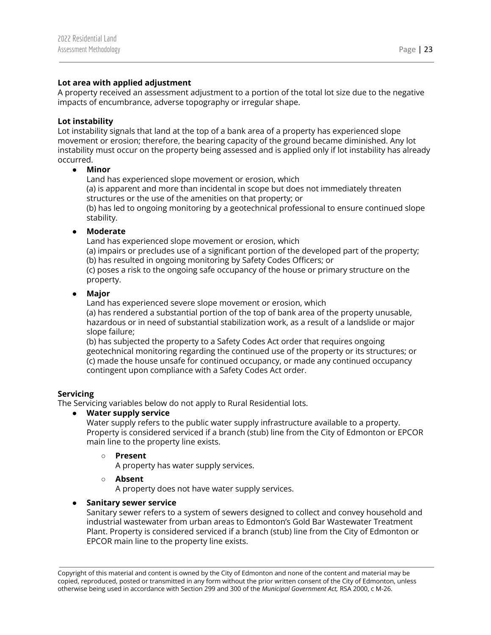#### **Lot area with applied adjustment**

A property received an assessment adjustment to a portion of the total lot size due to the negative impacts of encumbrance, adverse topography or irregular shape.

#### **Lot instability**

Lot instability signals that land at the top of a bank area of a property has experienced slope movement or erosion; therefore, the bearing capacity of the ground became diminished. Any lot instability must occur on the property being assessed and is applied only if lot instability has already occurred.

#### **● Minor**

Land has experienced slope movement or erosion, which (a) is apparent and more than incidental in scope but does not immediately threaten structures or the use of the amenities on that property; or (b) has led to ongoing monitoring by a geotechnical professional to ensure continued slope stability.

#### **● Moderate**

Land has experienced slope movement or erosion, which

(a) impairs or precludes use of a significant portion of the developed part of the property; (b) has resulted in ongoing monitoring by Safety Codes Officers; or

(c) poses a risk to the ongoing safe occupancy of the house or primary structure on the property.

#### **● Major**

Land has experienced severe slope movement or erosion, which

(a) has rendered a substantial portion of the top of bank area of the property unusable, hazardous or in need of substantial stabilization work, as a result of a landslide or major slope failure;

(b) has subjected the property to a Safety Codes Act order that requires ongoing geotechnical monitoring regarding the continued use of the property or its structures; or (c) made the house unsafe for continued occupancy, or made any continued occupancy contingent upon compliance with a Safety Codes Act order.

#### **Servicing**

The Servicing variables below do not apply to Rural Residential lots.

#### **● Water supply service**

Water supply refers to the public water supply infrastructure available to a property. Property is considered serviced if a branch (stub) line from the City of Edmonton or EPCOR main line to the property line exists.

#### **○ Present**

A property has water supply services.

#### **○ Absent**

A property does not have water supply services.

#### **● Sanitary sewer service**

Sanitary sewer refers to a system of sewers designed to collect and convey household and industrial wastewater from urban areas to Edmonton's Gold Bar Wastewater Treatment Plant. Property is considered serviced if a branch (stub) line from the City of Edmonton or EPCOR main line to the property line exists.

Copyright of this material and content is owned by the City of Edmonton and none of the content and material may be copied, reproduced, posted or transmitted in any form without the prior written consent of the City of Edmonton, unless otherwise being used in accordance with Section 299 and 300 of the *Municipal Government Act,* RSA 2000, c M-26.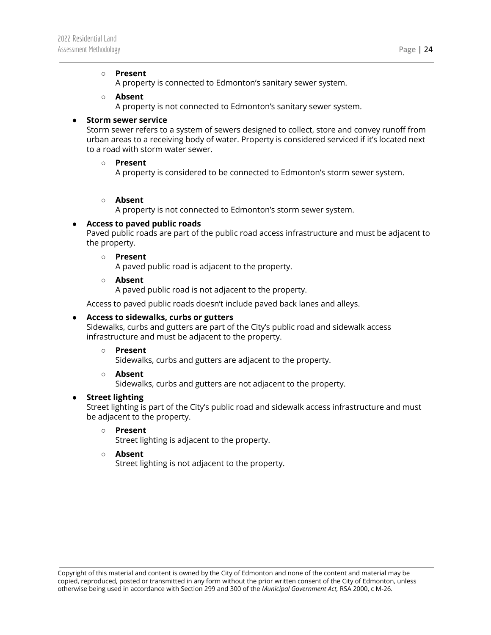#### **○ Present**

A property is connected to Edmonton's sanitary sewer system.

#### **○ Absent**

A property is not connected to Edmonton's sanitary sewer system.

#### **● Storm sewer service**

Storm sewer refers to a system of sewers designed to collect, store and convey runoff from urban areas to a receiving body of water. Property is considered serviced if it's located next to a road with storm water sewer.

#### **○ Present**

A property is considered to be connected to Edmonton's storm sewer system.

#### **○ Absent**

A property is not connected to Edmonton's storm sewer system.

#### **● Access to paved public roads**

Paved public roads are part of the public road access infrastructure and must be adjacent to the property.

#### **○ Present**

A paved public road is adjacent to the property.

**○ Absent**

A paved public road is not adjacent to the property.

Access to paved public roads doesn't include paved back lanes and alleys.

#### **● Access to sidewalks, curbs or gutters**

Sidewalks, curbs and gutters are part of the City's public road and sidewalk access infrastructure and must be adjacent to the property.

#### **○ Present**

Sidewalks, curbs and gutters are adjacent to the property.

#### **○ Absent**

Sidewalks, curbs and gutters are not adjacent to the property.

#### **● Street lighting**

Street lighting is part of the City's public road and sidewalk access infrastructure and must be adjacent to the property.

#### **○ Present**

Street lighting is adjacent to the property.

#### **○ Absent**

Street lighting is not adjacent to the property.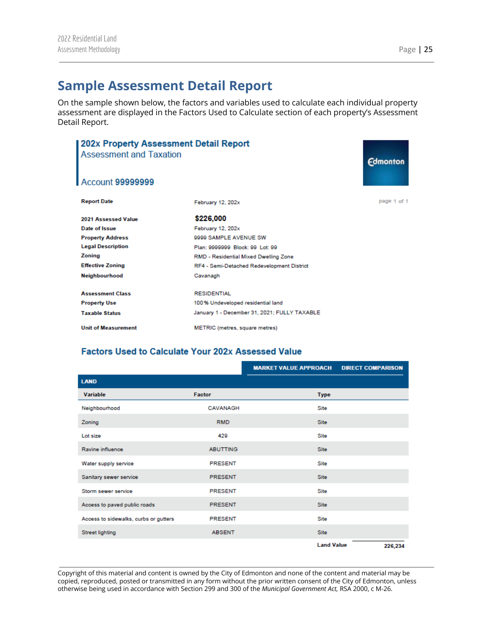## <span id="page-25-0"></span>**Sample Assessment Detail Report**

On the sample shown below, the factors and variables used to calculate each individual property assessment are displayed in the Factors Used to Calculate section of each property's Assessment Detail Report.

| 202x Property Assessment Detail Report<br><b>Assessment and Taxation</b><br>Account 99999999 |                                              | <b>Edmonton</b> |
|----------------------------------------------------------------------------------------------|----------------------------------------------|-----------------|
|                                                                                              |                                              |                 |
| <b>Report Date</b>                                                                           | February 12, 202x                            | page 1 of 1     |
| 2021 Assessed Value                                                                          | \$226,000                                    |                 |
| Date of Issue                                                                                | February 12, 202x                            |                 |
| <b>Property Address</b>                                                                      | 9999 SAMPLE AVENUE SW                        |                 |
| <b>Legal Description</b>                                                                     | Plan: 9999999 Block: 99 Lot: 99              |                 |
| Zoning                                                                                       | RMD - Residential Mixed Dwelling Zone        |                 |
| <b>Effective Zoning</b>                                                                      | RF4 - Semi-Detached Redevelopment District   |                 |
| Neighbourhood                                                                                | Cavanagh                                     |                 |
| <b>Assessment Class</b>                                                                      | <b>RESIDENTIAL</b>                           |                 |
| <b>Property Use</b>                                                                          | 100% Undeveloped residential land            |                 |
| <b>Taxable Status</b>                                                                        | January 1 - December 31, 2021; FULLY TAXABLE |                 |
| <b>Unit of Measurement</b>                                                                   | METRIC (metres, square metres)               |                 |

## **Factors Used to Calculate Your 202x Assessed Value**

|                                       |                 | <b>MARKET VALUE APPROACH</b> | <b>DIRECT COMPARISON</b> |
|---------------------------------------|-----------------|------------------------------|--------------------------|
| <b>LAND</b>                           |                 |                              |                          |
| Variable                              | Factor          | <b>Type</b>                  |                          |
| Neighbourhood                         | CAVANAGH        | Site                         |                          |
| Zoning                                | <b>RMD</b>      | <b>Site</b>                  |                          |
| Lot size                              | 429             | Site                         |                          |
| Ravine influence                      | <b>ABUTTING</b> | Site                         |                          |
| Water supply service                  | <b>PRESENT</b>  | Site                         |                          |
| Sanitary sewer service                | <b>PRESENT</b>  | Site                         |                          |
| Storm sewer service                   | <b>PRESENT</b>  | Site                         |                          |
| Access to paved public roads          | <b>PRESENT</b>  | Site                         |                          |
| Access to sidewalks, curbs or gutters | <b>PRESENT</b>  | Site                         |                          |
| <b>Street lighting</b>                | <b>ABSENT</b>   | Site                         |                          |
|                                       |                 | <b>Land Value</b>            | 226,234                  |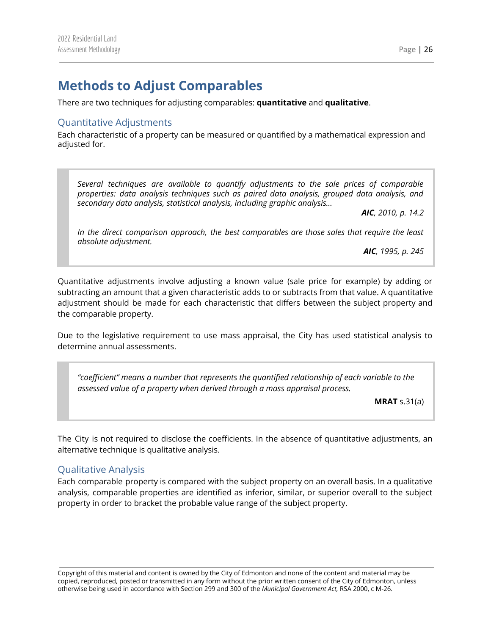## <span id="page-26-0"></span>**Methods to Adjust Comparables**

There are two techniques for adjusting comparables: **quantitative** and **qualitative**.

## <span id="page-26-1"></span>Quantitative Adjustments

Each characteristic of a property can be measured or quantified by a mathematical expression and adjusted for.

*Several techniques are available to quantify adjustments to the sale prices of comparable properties: data analysis techniques such as paired data analysis, grouped data analysis, and secondary data analysis, statistical analysis, including graphic analysis…*

*AIC, 2010, p. 14.2*

*In the direct comparison approach, the best comparables are those sales that require the least absolute adjustment.*

*AIC, 1995, p. 245*

Quantitative adjustments involve adjusting a known value (sale price for example) by adding or subtracting an amount that a given characteristic adds to or subtracts from that value. A quantitative adjustment should be made for each characteristic that differs between the subject property and the comparable property.

Due to the legislative requirement to use mass appraisal, the City has used statistical analysis to determine annual assessments.

*"coefficient" means a number that represents the quantified relationship of each variable to the assessed value of a property when derived through a mass appraisal process.*

**MRAT** s.31(a)

The City is not required to disclose the coefficients. In the absence of quantitative adjustments, an alternative technique is qualitative analysis.

### <span id="page-26-2"></span>Qualitative Analysis

Each comparable property is compared with the subject property on an overall basis. In a qualitative analysis, comparable properties are identified as inferior, similar, or superior overall to the subject property in order to bracket the probable value range of the subject property.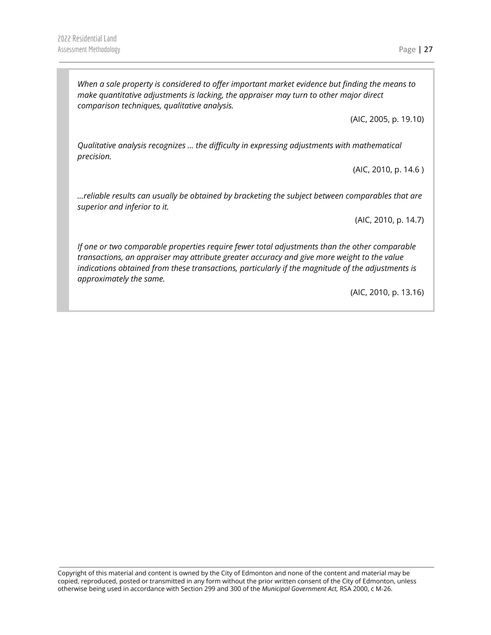*When a sale property is considered to offer important market evidence but finding the means to make quantitative adjustments is lacking, the appraiser may turn to other major direct comparison techniques, qualitative analysis.*

(AIC, 2005, p. 19.10)

*Qualitative analysis recognizes … the difficulty in expressing adjustments with mathematical precision.*

(AIC, 2010, p. 14.6 )

*…reliable results can usually be obtained by bracketing the subject between comparables that are superior and inferior to it.*

(AIC, 2010, p. 14.7)

*If one or two comparable properties require fewer total adjustments than the other comparable transactions, an appraiser may attribute greater accuracy and give more weight to the value indications obtained from these transactions, particularly if the magnitude of the adjustments is approximately the same.*

(AIC, 2010, p. 13.16)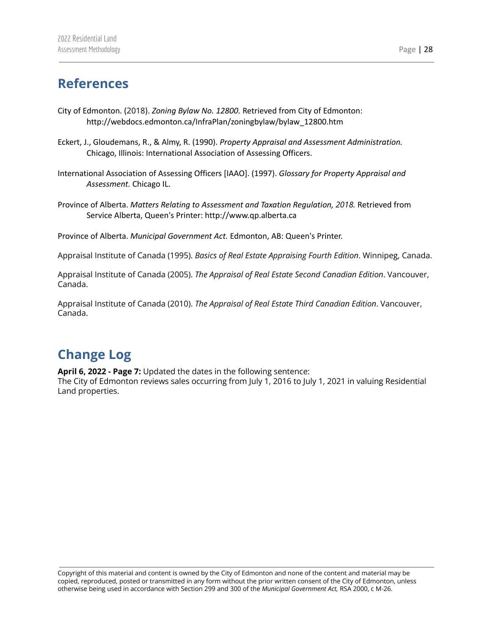## <span id="page-28-0"></span>**References**

- City of Edmonton. (2018). *Zoning Bylaw No. 12800.* Retrieved from City of Edmonton: http://webdocs.edmonton.ca/InfraPlan/zoningbylaw/bylaw\_12800.htm
- Eckert, J., Gloudemans, R., & Almy, R. (1990). *Property Appraisal and Assessment Administration.* Chicago, Illinois: International Association of Assessing Officers.
- International Association of Assessing Officers [IAAO]. (1997). *Glossary for Property Appraisal and Assessment.* Chicago IL.
- Province of Alberta. *Matters Relating to Assessment and Taxation Regulation, 2018.* Retrieved from Service Alberta, Queen's Printer: http://www.qp.alberta.ca

Province of Alberta. *Municipal Government Act.* Edmonton, AB: Queen's Printer.

Appraisal Institute of Canada (1995). *Basics of Real Estate Appraising Fourth Edition*. Winnipeg, Canada.

Appraisal Institute of Canada (2005). *The Appraisal of Real Estate Second Canadian Edition*. Vancouver, Canada.

Appraisal Institute of Canada (2010). *The Appraisal of Real Estate Third Canadian Edition*. Vancouver, Canada.

# **Change Log**

**April 6, 2022 - Page 7:** Updated the dates in the following sentence:

The City of Edmonton reviews sales occurring from July 1, 2016 to July 1, 2021 in valuing Residential Land properties.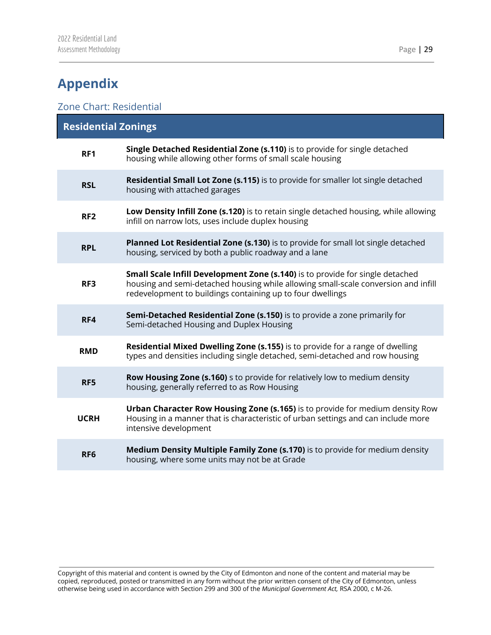# <span id="page-29-0"></span>**Appendix**

## <span id="page-29-1"></span>Zone Chart: Residential

| <b>Residential Zonings</b> |                                                                                                                                                                                                                                   |
|----------------------------|-----------------------------------------------------------------------------------------------------------------------------------------------------------------------------------------------------------------------------------|
| RF1                        | Single Detached Residential Zone (s.110) is to provide for single detached<br>housing while allowing other forms of small scale housing                                                                                           |
| <b>RSL</b>                 | <b>Residential Small Lot Zone (s.115)</b> is to provide for smaller lot single detached<br>housing with attached garages                                                                                                          |
| RF <sub>2</sub>            | Low Density Infill Zone (s.120) is to retain single detached housing, while allowing<br>infill on narrow lots, uses include duplex housing                                                                                        |
| <b>RPL</b>                 | Planned Lot Residential Zone (s.130) is to provide for small lot single detached<br>housing, serviced by both a public roadway and a lane                                                                                         |
| RF3                        | Small Scale Infill Development Zone (s.140) is to provide for single detached<br>housing and semi-detached housing while allowing small-scale conversion and infill<br>redevelopment to buildings containing up to four dwellings |
| RF4                        | Semi-Detached Residential Zone (s.150) is to provide a zone primarily for<br>Semi-detached Housing and Duplex Housing                                                                                                             |
| <b>RMD</b>                 | Residential Mixed Dwelling Zone (s.155) is to provide for a range of dwelling<br>types and densities including single detached, semi-detached and row housing                                                                     |
| RF5                        | Row Housing Zone (s.160) s to provide for relatively low to medium density<br>housing, generally referred to as Row Housing                                                                                                       |
| <b>UCRH</b>                | Urban Character Row Housing Zone (s.165) is to provide for medium density Row<br>Housing in a manner that is characteristic of urban settings and can include more<br>intensive development                                       |
| RF <sub>6</sub>            | Medium Density Multiple Family Zone (s.170) is to provide for medium density<br>housing, where some units may not be at Grade                                                                                                     |